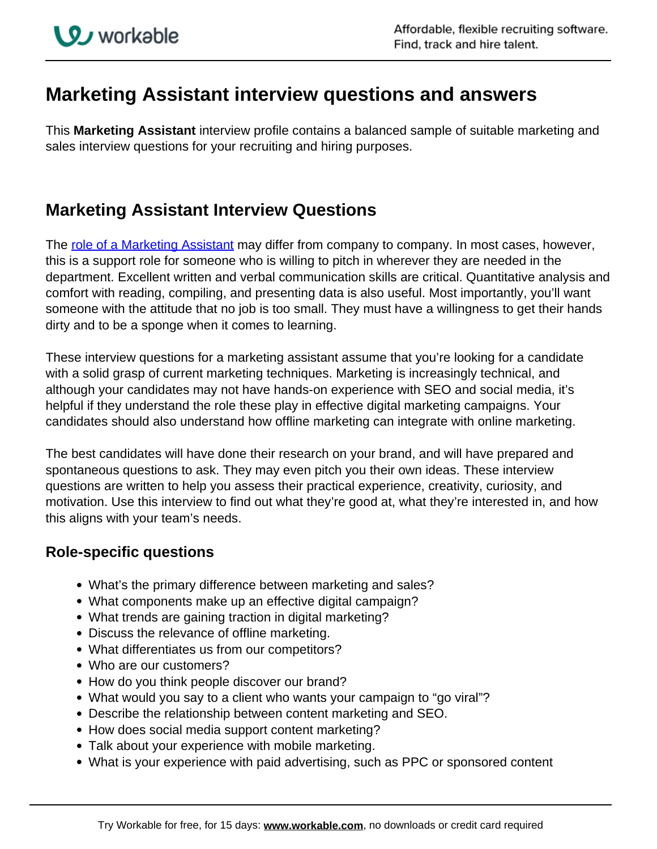## **Marketing Assistant interview questions and answers**

This **Marketing Assistant** interview profile contains a balanced sample of suitable marketing and sales interview questions for your recruiting and hiring purposes.

## **Marketing Assistant Interview Questions**

The [role of a Marketing Assistant](https://resources.workable.com/marketing-assistant-job-description) may differ from company to company. In most cases, however, this is a support role for someone who is willing to pitch in wherever they are needed in the department. Excellent written and verbal communication skills are critical. Quantitative analysis and comfort with reading, compiling, and presenting data is also useful. Most importantly, you'll want someone with the attitude that no job is too small. They must have a willingness to get their hands dirty and to be a sponge when it comes to learning.

These interview questions for a marketing assistant assume that you're looking for a candidate with a solid grasp of current marketing techniques. Marketing is increasingly technical, and although your candidates may not have hands-on experience with SEO and social media, it's helpful if they understand the role these play in effective digital marketing campaigns. Your candidates should also understand how offline marketing can integrate with online marketing.

The best candidates will have done their research on your brand, and will have prepared and spontaneous questions to ask. They may even pitch you their own ideas. These interview questions are written to help you assess their practical experience, creativity, curiosity, and motivation. Use this interview to find out what they're good at, what they're interested in, and how this aligns with your team's needs.

## **Role-specific questions**

- What's the primary difference between marketing and sales?
- What components make up an effective digital campaign?
- What trends are gaining traction in digital marketing?
- Discuss the relevance of offline marketing.
- What differentiates us from our competitors?
- Who are our customers?
- How do you think people discover our brand?
- What would you say to a client who wants your campaign to "go viral"?
- Describe the relationship between content marketing and SEO.
- How does social media support content marketing?
- Talk about your experience with mobile marketing.
- What is your experience with paid advertising, such as PPC or sponsored content